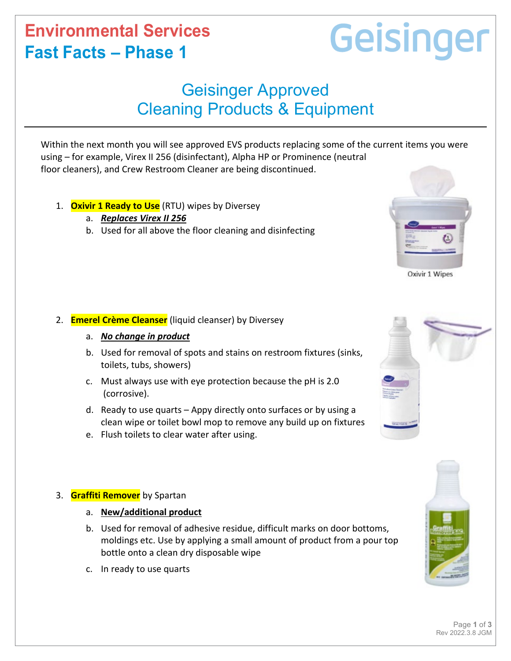# **Environmental Services Fast Facts – Phase 1**

# Geisinger

# Geisinger Approved Cleaning Products & Equipment

Within the next month you will see approved EVS products replacing some of the current items you were using – for example, Virex II 256 (disinfectant), Alpha HP or Prominence (neutral floor cleaners), and Crew Restroom Cleaner are being discontinued.

- 1. **Oxivir 1 Ready to Use** (RTU) wipes by Diversey
	- a. *Replaces Virex II 256*
	- b. Used for all above the floor cleaning and disinfecting

## 2. **Emerel Crème Cleanser** (liquid cleanser) by Diversey

- a. *No change in product*
- b. Used for removal of spots and stains on restroom fixtures (sinks, toilets, tubs, showers)
- c. Must always use with eye protection because the pH is 2.0 (corrosive).
- d. Ready to use quarts Appy directly onto surfaces or by using a clean wipe or toilet bowl mop to remove any build up on fixtures
- e. Flush toilets to clear water after using.

## 3. **Graffiti Remover** by Spartan

- a. **New/additional product**
- b. Used for removal of adhesive residue, difficult marks on door bottoms, moldings etc. Use by applying a small amount of product from a pour top bottle onto a clean dry disposable wipe
- c. In ready to use quarts



Oxivir 1 Wipes

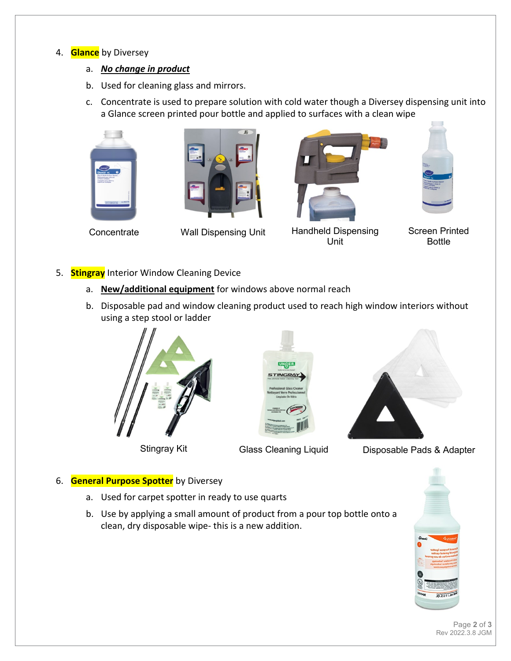#### 4. **Glance** by Diversey

- a. *No change in product*
- b. Used for cleaning glass and mirrors.
- c. Concentrate is used to prepare solution with cold water though a Diversey dispensing unit into a Glance screen printed pour bottle and applied to surfaces with a clean wipe









Concentrate Wall Dispensing Unit Handheld Dispensing Unit



Screen Printed Bottle

- 5. **Stingray** Interior Window Cleaning Device
	- a. **New/additional equipment** for windows above normal reach
	- b. Disposable pad and window cleaning product used to reach high window interiors without using a step stool or ladder







Stingray Kit **Glass Cleaning Liquid** Disposable Pads & Adapter

#### 6. **General Purpose Spotter** by Diversey

- a. Used for carpet spotter in ready to use quarts
- b. Use by applying a small amount of product from a pour top bottle onto a clean, dry disposable wipe- this is a new addition.



Page **2** of **3** Rev 2022.3.8 JGM